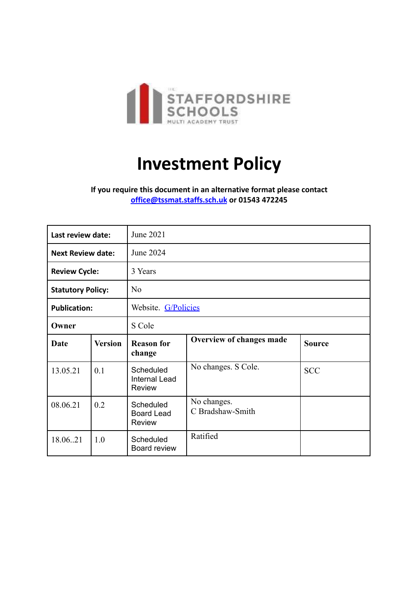

## **Investment Policy**

**If you require this document in an alternative format please contact [office@tssmat.staffs.sch.uk](mailto:office@tssmat.staffs.sch.uk) or 01543 472245**

| Last review date:        |                | June 2021                                          |                                 |               |
|--------------------------|----------------|----------------------------------------------------|---------------------------------|---------------|
| <b>Next Review date:</b> |                | June 2024                                          |                                 |               |
| <b>Review Cycle:</b>     |                | 3 Years                                            |                                 |               |
| <b>Statutory Policy:</b> |                | N <sub>0</sub>                                     |                                 |               |
| <b>Publication:</b>      |                | Website. G/Policies                                |                                 |               |
| Owner                    |                | S Cole                                             |                                 |               |
| Date                     | <b>Version</b> | <b>Reason for</b><br>change                        | Overview of changes made        | <b>Source</b> |
| 13.05.21                 | 0.1            | Scheduled<br><b>Internal Lead</b><br><b>Review</b> | No changes. S Cole.             | <b>SCC</b>    |
| 08.06.21                 | 0.2            | Scheduled<br><b>Board Lead</b><br><b>Review</b>    | No changes.<br>C Bradshaw-Smith |               |
| 18.06.21                 | 1.0            | Scheduled<br>Board review                          | Ratified                        |               |